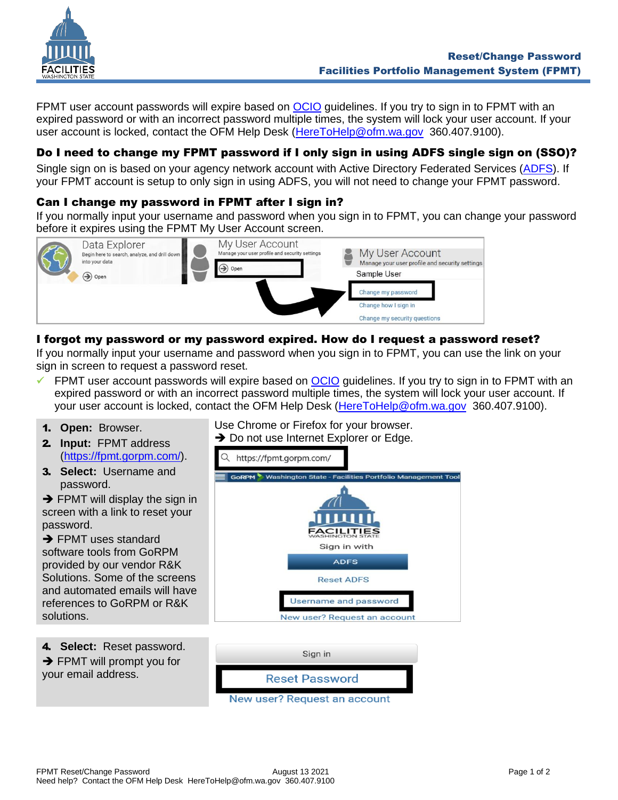

FPMT user account passwords will expire based on [OCIO](https://ocio.wa.gov/) guidelines. If you try to sign in to FPMT with an expired password or with an incorrect password multiple times, the system will lock your user account. If your user account is locked, contact the OFM Help Desk [\(HereToHelp@ofm.wa.gov](mailto:HereToHelp@ofm.wa.gov) 360.407.9100).

# Do I need to change my FPMT password if I only sign in using ADFS single sign on (SSO)?

Single sign on is based on your agency network account with Active Directory Federated Services [\(ADFS\)](https://watech.wa.gov/services/Active-Directory-Federation-Services-ADFS). If your FPMT account is setup to only sign in using ADFS, you will not need to change your FPMT password.

### Can I change my password in FPMT after I sign in?

If you normally input your username and password when you sign in to FPMT, you can change your password before it expires using the FPMT My User Account screen.



## I forgot my password or my password expired. How do I request a password reset?

If you normally input your username and password when you sign in to FPMT, you can use the link on your sign in screen to request a password reset.

- $\checkmark$  FPMT user account passwords will expire based on [OCIO](https://ocio.wa.gov/) quidelines. If you try to sign in to FPMT with an expired password or with an incorrect password multiple times, the system will lock your user account. If your user account is locked, contact the OFM Help Desk [\(HereToHelp@ofm.wa.gov](mailto:HereToHelp@ofm.wa.gov) 360.407.9100).
- 1. **Open:** Browser.
- 2. **Input:** FPMT address [\(https://fpmt.gorpm.com/\)](https://fpmt.gorpm.com/).
- 3. **Select:** Username and password.

 $\rightarrow$  FPMT will display the sign in screen with a link to reset your password.

**→ FPMT uses standard** software tools from GoRPM provided by our vendor R&K Solutions. Some of the screens and automated emails will have references to GoRPM or R&K solutions.

Use Chrome or Firefox for your browser. **→** Do not use Internet Explorer or Edge.



4. **Select:** Reset password. **→ FPMT will prompt you for** your email address.